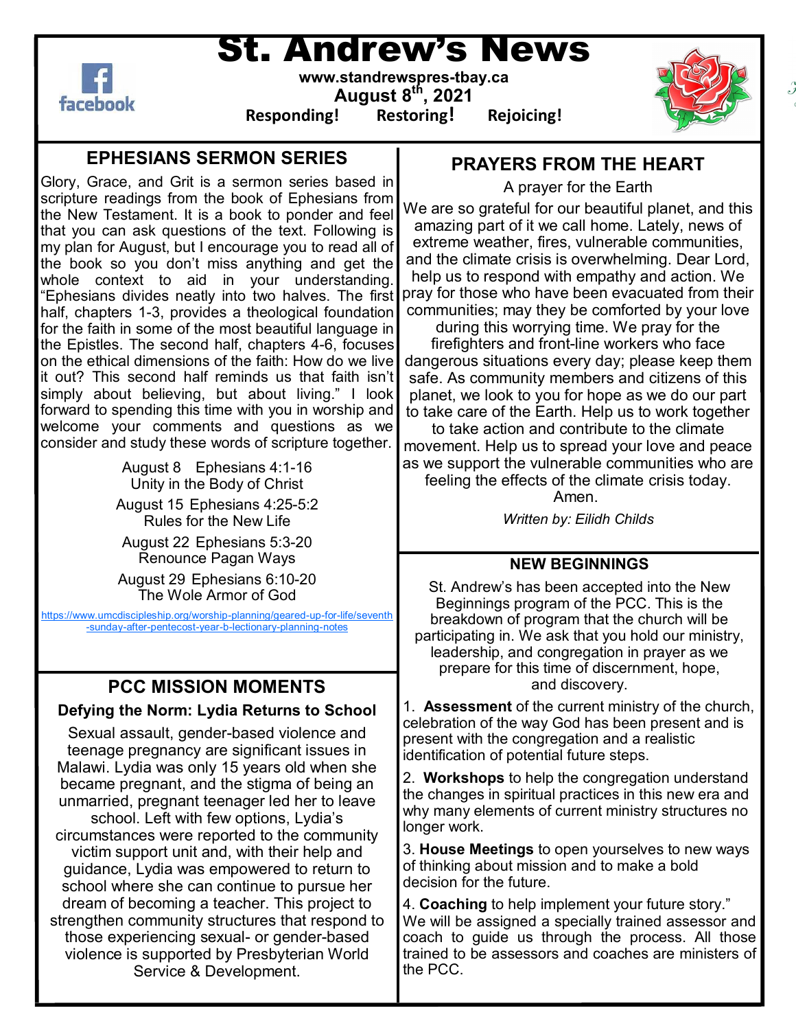St. Andrew's News



**www.standrewspres-tbay.ca August 8th, 2021**

**Responding! Restoring! Rejoicing!**



## **EPHESIANS SERMON SERIES**

Glory, Grace, and Grit is a sermon series based in scripture readings from the book of Ephesians from the New Testament. It is a book to ponder and feel that you can ask questions of the text. Following is my plan for August, but I encourage you to read all of the book so you don't miss anything and get the whole context to aid in your understanding. "Ephesians divides neatly into two halves. The first half, chapters 1-3, provides a theological foundation for the faith in some of the most beautiful language in the Epistles. The second half, chapters 4-6, focuses on the ethical dimensions of the faith: How do we live it out? This second half reminds us that faith isn't simply about believing, but about living." I look forward to spending this time with you in worship and welcome your comments and questions as we consider and study these words of scripture together.

> August 8 Ephesians 4:1-16 Unity in the Body of Christ

August 15 Ephesians 4:25-5:2 Rules for the New Life

August 22 Ephesians 5:3-20 Renounce Pagan Ways

August 29 Ephesians 6:10-20 The Wole Armor of God

[https://www.umcdiscipleship.org/worship](https://www.umcdiscipleship.org/worship-planning/geared-up-for-life/seventh-sunday-after-pentecost-year-b-lectionary-planning-notes)-planning/geared-up-for-life/seventh -sunday-after-[pentecost](https://www.umcdiscipleship.org/worship-planning/geared-up-for-life/seventh-sunday-after-pentecost-year-b-lectionary-planning-notes)-year-b-lectionary-planning-notes

## **PCC MISSION MOMENTS**

#### **Defying the Norm: Lydia Returns to School**

Sexual assault, gender-based violence and teenage pregnancy are significant issues in Malawi. Lydia was only 15 years old when she became pregnant, and the stigma of being an unmarried, pregnant teenager led her to leave school. Left with few options, Lydia's circumstances were reported to the community victim support unit and, with their help and guidance, Lydia was empowered to return to school where she can continue to pursue her dream of becoming a teacher. This project to strengthen community structures that respond to those experiencing sexual- or gender-based violence is supported by Presbyterian World Service & Development.

## **PRAYERS FROM THE HEART**

A prayer for the Earth

We are so grateful for our beautiful planet, and this amazing part of it we call home. Lately, news of extreme weather, fires, vulnerable communities, and the climate crisis is overwhelming. Dear Lord, help us to respond with empathy and action. We pray for those who have been evacuated from their communities; may they be comforted by your love

during this worrying time. We pray for the firefighters and front-line workers who face dangerous situations every day; please keep them safe. As community members and citizens of this planet, we look to you for hope as we do our part to take care of the Earth. Help us to work together

to take action and contribute to the climate movement. Help us to spread your love and peace as we support the vulnerable communities who are

feeling the effects of the climate crisis today. Amen.

*Written by: Eilidh Childs*

#### **NEW BEGINNINGS**

St. Andrew's has been accepted into the New Beginnings program of the PCC. This is the breakdown of program that the church will be participating in. We ask that you hold our ministry, leadership, and congregation in prayer as we prepare for this time of discernment, hope, and discovery.

1. **Assessment** of the current ministry of the church, celebration of the way God has been present and is present with the congregation and a realistic identification of potential future steps.

2. **Workshops** to help the congregation understand the changes in spiritual practices in this new era and why many elements of current ministry structures no longer work.

3. **House Meetings** to open yourselves to new ways of thinking about mission and to make a bold decision for the future.

4. **Coaching** to help implement your future story." We will be assigned a specially trained assessor and coach to guide us through the process. All those trained to be assessors and coaches are ministers of the PCC.